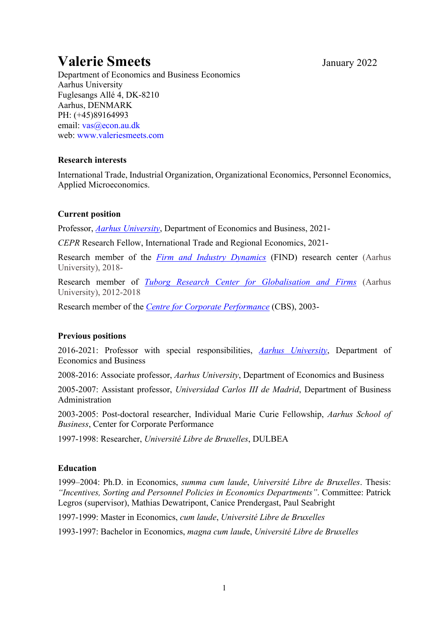# **Valerie Smeets** January <sup>2022</sup>

Department of Economics and Business Economics Aarhus University Fuglesangs Allé 4, DK-8210 Aarhus, DENMARK PH: (+45)89164993 email: vas@econ.au.dk web: www.valeriesmeets.com

### **Research interests**

International Trade, Industrial Organization, Organizational Economics, Personnel Economics, Applied Microeconomics.

# **Current position**

Professor, *Aarhus University*, Department of Economics and Business, 2021-

*CEPR* Research Fellow, International Trade and Regional Economics, 2021-

Research member of the *Firm and Industry Dynamics* (FIND) research center (Aarhus University), 2018-

Research member of *Tuborg Research Center for Globalisation and Firms* (Aarhus University), 2012-2018

Research member of the *Centre for Corporate Performance* (CBS), 2003-

# **Previous positions**

2016-2021: Professor with special responsibilities, *Aarhus University*, Department of Economics and Business

2008-2016: Associate professor, *Aarhus University*, Department of Economics and Business

2005-2007: Assistant professor, *Universidad Carlos III de Madrid*, Department of Business Administration

2003-2005: Post-doctoral researcher, Individual Marie Curie Fellowship, *Aarhus School of Business*, Center for Corporate Performance

1997-1998: Researcher, *Université Libre de Bruxelles*, DULBEA

# **Education**

1999–2004: Ph.D. in Economics, *summa cum laude*, *Université Libre de Bruxelles*. Thesis: *"Incentives, Sorting and Personnel Policies in Economics Departments"*. Committee: Patrick Legros (supervisor), Mathias Dewatripont, Canice Prendergast, Paul Seabright

1997-1999: Master in Economics, *cum laude*, *Université Libre de Bruxelles*

1993-1997: Bachelor in Economics, *magna cum laud*e, *Université Libre de Bruxelles*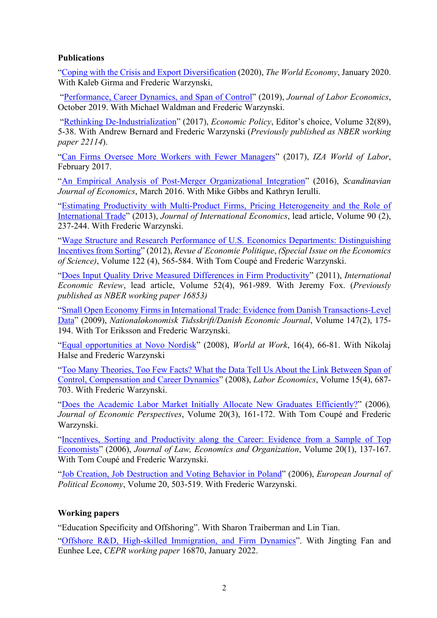### **Publications**

"Coping with the Crisis and Export Diversification (2020), *The World Economy*, January 2020. With Kaleb Girma and Frederic Warzynski,

"Performance, Career Dynamics, and Span of Control" (2019), *Journal of Labor Economics*, October 2019. With Michael Waldman and Frederic Warzynski.

"Rethinking De-Industrialization" (2017), *Economic Policy*, Editor's choice, Volume 32(89), 5-38. With Andrew Bernard and Frederic Warzynski (*Previously published as NBER working paper 22114*).

"Can Firms Oversee More Workers with Fewer Managers" (2017), *IZA World of Labor*, February 2017.

"An Empirical Analysis of Post-Merger Organizational Integration" (2016), *Scandinavian Journal of Economics*, March 2016. With Mike Gibbs and Kathryn Ierulli.

"Estimating Productivity with Multi-Product Firms, Pricing Heterogeneity and the Role of International Trade" (2013), *Journal of International Economics*, lead article, Volume 90 (2), 237-244. With Frederic Warzynski.

"Wage Structure and Research Performance of U.S. Economics Departments: Distinguishing Incentives from Sorting" (2012), *Revue d´Economie Politique*, *(Special Issue on the Economics of Science)*, Volume 122 (4), 565-584. With Tom Coupé and Frederic Warzynski.

"Does Input Quality Drive Measured Differences in Firm Productivity" (2011), *International Economic Review*, lead article, Volume 52(4), 961-989. With Jeremy Fox. (*Previously published as NBER working paper 16853)*

"Small Open Economy Firms in International Trade: Evidence from Danish Transactions-Level Data" (2009), *Nationaløkonomisk Tidsskrift/Danish Economic Journal*, Volume 147(2), 175- 194. With Tor Eriksson and Frederic Warzynski.

"Equal opportunities at Novo Nordisk" (2008), *World at Work*, 16(4), 66-81. With Nikolaj Halse and Frederic Warzynski

"Too Many Theories, Too Few Facts? What the Data Tell Us About the Link Between Span of Control, Compensation and Career Dynamics" (2008), *Labor Economics*, Volume 15(4), 687- 703. With Frederic Warzynski.

"Does the Academic Labor Market Initially Allocate New Graduates Efficiently?" (2006)*, Journal of Economic Perspectives*, Volume 20(3), 161-172. With Tom Coupé and Frederic Warzynski.

"Incentives, Sorting and Productivity along the Career: Evidence from a Sample of Top Economists" (2006), *Journal of Law, Economics and Organization*, Volume 20(1), 137-167. With Tom Coupé and Frederic Warzynski.

"Job Creation, Job Destruction and Voting Behavior in Poland" (2006), *European Journal of Political Economy*, Volume 20, 503-519. With Frederic Warzynski.

# **Working papers**

"Education Specificity and Offshoring". With Sharon Traiberman and Lin Tian.

"Offshore R&D, High-skilled Immigration, and Firm Dynamics". With Jingting Fan and Eunhee Lee, *CEPR working paper* 16870, January 2022.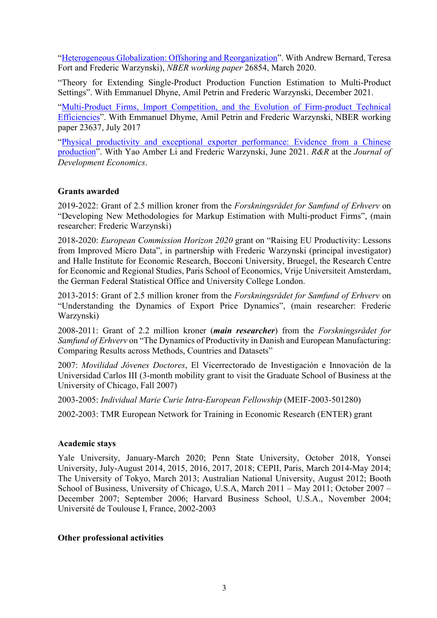"Heterogeneous Globalization: Offshoring and Reorganization". With Andrew Bernard, Teresa Fort and Frederic Warzynski), *NBER working paper* 26854, March 2020.

"Theory for Extending Single-Product Production Function Estimation to Multi-Product Settings". With Emmanuel Dhyne, Amil Petrin and Frederic Warzynski, December 2021.

"Multi-Product Firms, Import Competition, and the Evolution of Firm-product Technical Efficiencies". With Emmanuel Dhyme, Amil Petrin and Frederic Warzynski, NBER working paper 23637, July 2017

"Physical productivity and exceptional exporter performance: Evidence from a Chinese production". With Yao Amber Li and Frederic Warzynski, June 2021. *R&R* at the *Journal of Development Economics*.

# **Grants awarded**

2019-2022: Grant of 2.5 million kroner from the *Forskningsrådet for Samfund of Erhverv* on "Developing New Methodologies for Markup Estimation with Multi-product Firms", (main researcher: Frederic Warzynski)

2018-2020: *European Commission Horizon 2020* grant on "Raising EU Productivity: Lessons from Improved Micro Data", in partnership with Frederic Warzynski (principal investigator) and Halle Institute for Economic Research, Bocconi University, Bruegel, the Research Centre for Economic and Regional Studies, Paris School of Economics, Vrije Universiteit Amsterdam, the German Federal Statistical Office and University College London.

2013-2015: Grant of 2.5 million kroner from the *Forskningsrådet for Samfund of Erhverv* on "Understanding the Dynamics of Export Price Dynamics", (main researcher: Frederic Warzynski)

2008-2011: Grant of 2.2 million kroner (*main researcher*) from the *Forskningsrådet for Samfund of Erhverv* on "The Dynamics of Productivity in Danish and European Manufacturing: Comparing Results across Methods, Countries and Datasets"

2007: *Movilidad Jóvenes Doctores*, El Vicerrectorado de Investigación e Innovación de la Universidad Carlos III (3-month mobility grant to visit the Graduate School of Business at the University of Chicago, Fall 2007)

2003-2005: *Individual Marie Curie Intra-European Fellowship* (MEIF-2003-501280)

2002-2003: TMR European Network for Training in Economic Research (ENTER) grant

#### **Academic stays**

Yale University, January-March 2020; Penn State University, October 2018, Yonsei University, July-August 2014, 2015, 2016, 2017, 2018; CEPII, Paris, March 2014-May 2014; The University of Tokyo, March 2013; Australian National University, August 2012; Booth School of Business, University of Chicago, U.S.A, March 2011 – May 2011; October 2007 – December 2007; September 2006; Harvard Business School, U.S.A., November 2004; Université de Toulouse I, France, 2002-2003

#### **Other professional activities**